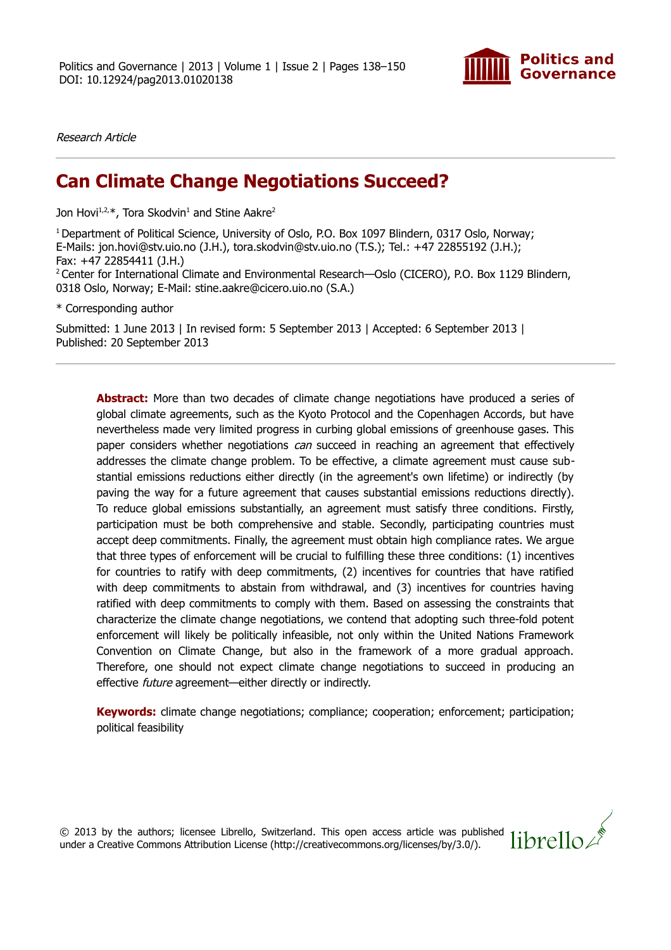

librello/

Research Article

# **Can Climate Change Negotiations Succeed?**

Jon Hovi<sup>1,2,\*</sup>, Tora Skodvin<sup>1</sup> and Stine Aakre<sup>2</sup>

<sup>1</sup> Department of Political Science, University of Oslo, P.O. Box 1097 Blindern, 0317 Oslo, Norway; E-Mails: jon.hovi@stv.uio.no (J.H.), tora.skodvin@stv.uio.no (T.S.); Tel.: +47 22855192 (J.H.); Fax: +47 22854411 (J.H.) <sup>2</sup> Center for International Climate and Environmental Research—Oslo (CICERO), P.O. Box 1129 Blindern, 0318 Oslo, Norway; E-Mail: stine.aakre@cicero.uio.no (S.A.)

\* Corresponding author

Submitted: 1 June 2013 | In revised form: 5 September 2013 | Accepted: 6 September 2013 | Published: 20 September 2013

**Abstract:** More than two decades of climate change negotiations have produced a series of global climate agreements, such as the Kyoto Protocol and the Copenhagen Accords, but have nevertheless made very limited progress in curbing global emissions of greenhouse gases. This paper considers whether negotiations *can* succeed in reaching an agreement that effectively addresses the climate change problem. To be effective, a climate agreement must cause substantial emissions reductions either directly (in the agreement's own lifetime) or indirectly (by paving the way for a future agreement that causes substantial emissions reductions directly). To reduce global emissions substantially, an agreement must satisfy three conditions. Firstly, participation must be both comprehensive and stable. Secondly, participating countries must accept deep commitments. Finally, the agreement must obtain high compliance rates. We argue that three types of enforcement will be crucial to fulfilling these three conditions: (1) incentives for countries to ratify with deep commitments, (2) incentives for countries that have ratified with deep commitments to abstain from withdrawal, and (3) incentives for countries having ratified with deep commitments to comply with them. Based on assessing the constraints that characterize the climate change negotiations, we contend that adopting such three-fold potent enforcement will likely be politically infeasible, not only within the United Nations Framework Convention on Climate Change, but also in the framework of a more gradual approach. Therefore, one should not expect climate change negotiations to succeed in producing an effective future agreement—either directly or indirectly.

**Keywords:** climate change negotiations; compliance; cooperation; enforcement; participation; political feasibility

© 2013 by the authors; licensee Librello, Switzerland. This open access article was published under a Creative Commons Attribution License (http://creativecommons.org/licenses/by/3.0/).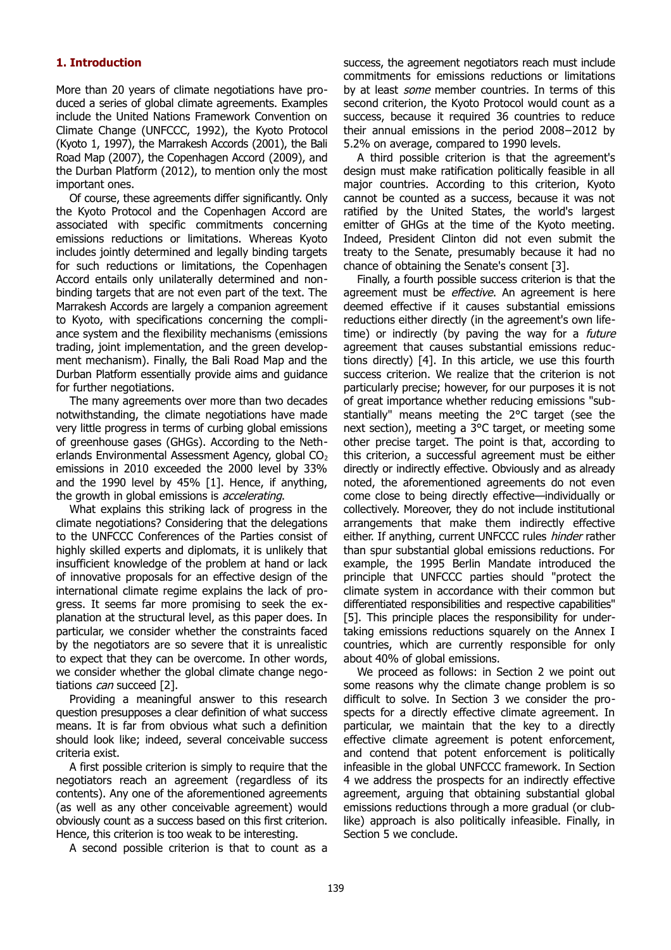## **1. Introduction**

More than 20 years of climate negotiations have produced a series of global climate agreements. Examples include the United Nations Framework Convention on Climate Change (UNFCCC, 1992), the Kyoto Protocol (Kyoto 1, 1997), the Marrakesh Accords (2001), the Bali Road Map (2007), the Copenhagen Accord (2009), and the Durban Platform (2012), to mention only the most important ones.

Of course, these agreements differ significantly. Only the Kyoto Protocol and the Copenhagen Accord are associated with specific commitments concerning emissions reductions or limitations. Whereas Kyoto includes jointly determined and legally binding targets for such reductions or limitations, the Copenhagen Accord entails only unilaterally determined and nonbinding targets that are not even part of the text. The Marrakesh Accords are largely a companion agreement to Kyoto, with specifications concerning the compliance system and the flexibility mechanisms (emissions trading, joint implementation, and the green development mechanism). Finally, the Bali Road Map and the Durban Platform essentially provide aims and guidance for further negotiations.

The many agreements over more than two decades notwithstanding, the climate negotiations have made very little progress in terms of curbing global emissions of greenhouse gases (GHGs). According to the Netherlands Environmental Assessment Agency, global  $CO<sub>2</sub>$ emissions in 2010 exceeded the 2000 level by 33% and the 1990 level by 45% [1]. Hence, if anything, the growth in global emissions is *accelerating*.

What explains this striking lack of progress in the climate negotiations? Considering that the delegations to the UNFCCC Conferences of the Parties consist of highly skilled experts and diplomats, it is unlikely that insufficient knowledge of the problem at hand or lack of innovative proposals for an effective design of the international climate regime explains the lack of progress. It seems far more promising to seek the explanation at the structural level, as this paper does. In particular, we consider whether the constraints faced by the negotiators are so severe that it is unrealistic to expect that they can be overcome. In other words, we consider whether the global climate change negotiations *can* succeed [2].

Providing a meaningful answer to this research question presupposes a clear definition of what success means. It is far from obvious what such a definition should look like; indeed, several conceivable success criteria exist.

A first possible criterion is simply to require that the negotiators reach an agreement (regardless of its contents). Any one of the aforementioned agreements (as well as any other conceivable agreement) would obviously count as a success based on this first criterion. Hence, this criterion is too weak to be interesting.

A second possible criterion is that to count as a

success, the agreement negotiators reach must include commitments for emissions reductions or limitations by at least *some* member countries. In terms of this second criterion, the Kyoto Protocol would count as a success, because it required 36 countries to reduce their annual emissions in the period 2008−2012 by 5.2% on average, compared to 1990 levels.

A third possible criterion is that the agreement's design must make ratification politically feasible in all major countries. According to this criterion, Kyoto cannot be counted as a success, because it was not ratified by the United States, the world's largest emitter of GHGs at the time of the Kyoto meeting. Indeed, President Clinton did not even submit the treaty to the Senate, presumably because it had no chance of obtaining the Senate's consent [3].

Finally, a fourth possible success criterion is that the agreement must be *effective*. An agreement is here deemed effective if it causes substantial emissions reductions either directly (in the agreement's own lifetime) or indirectly (by paving the way for a *future* agreement that causes substantial emissions reductions directly) [4]. In this article, we use this fourth success criterion. We realize that the criterion is not particularly precise; however, for our purposes it is not of great importance whether reducing emissions "substantially" means meeting the 2°C target (see the next section), meeting a 3°C target, or meeting some other precise target. The point is that, according to this criterion, a successful agreement must be either directly or indirectly effective. Obviously and as already noted, the aforementioned agreements do not even come close to being directly effective—individually or collectively. Moreover, they do not include institutional arrangements that make them indirectly effective either. If anything, current UNFCCC rules hinder rather than spur substantial global emissions reductions. For example, the 1995 Berlin Mandate introduced the principle that UNFCCC parties should "protect the climate system in accordance with their common but differentiated responsibilities and respective capabilities" [5]. This principle places the responsibility for undertaking emissions reductions squarely on the Annex I countries, which are currently responsible for only about 40% of global emissions.

We proceed as follows: in Section 2 we point out some reasons why the climate change problem is so difficult to solve. In Section 3 we consider the prospects for a directly effective climate agreement. In particular, we maintain that the key to a directly effective climate agreement is potent enforcement, and contend that potent enforcement is politically infeasible in the global UNFCCC framework. In Section 4 we address the prospects for an indirectly effective agreement, arguing that obtaining substantial global emissions reductions through a more gradual (or clublike) approach is also politically infeasible. Finally, in Section 5 we conclude.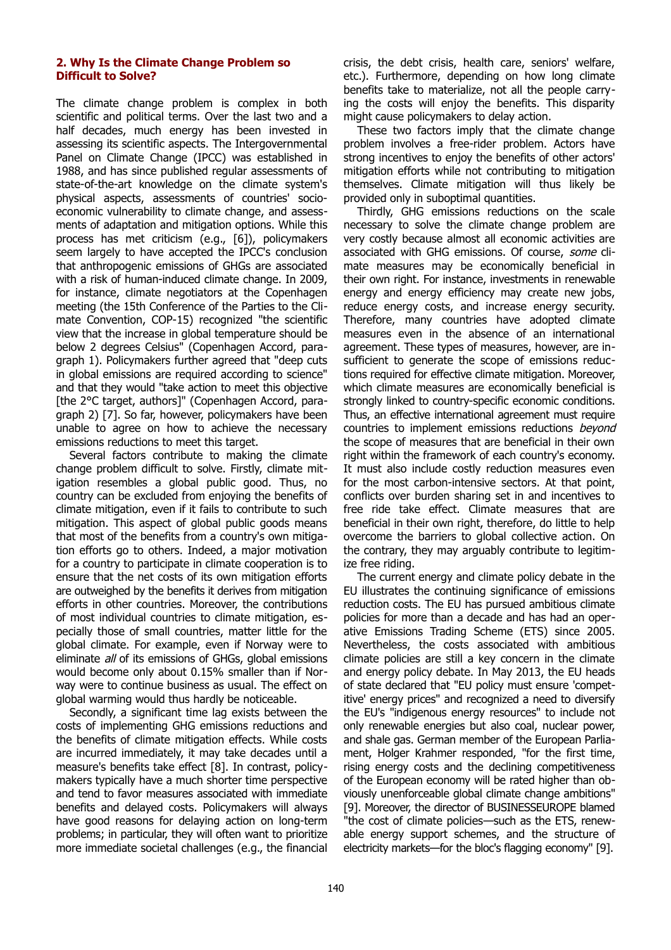#### **2. Why Is the Climate Change Problem so Difficult to Solve?**

The climate change problem is complex in both scientific and political terms. Over the last two and a half decades, much energy has been invested in assessing its scientific aspects. The Intergovernmental Panel on Climate Change (IPCC) was established in 1988, and has since published regular assessments of state-of-the-art knowledge on the climate system's physical aspects, assessments of countries' socioeconomic vulnerability to climate change, and assessments of adaptation and mitigation options. While this process has met criticism (e.g., [6]), policymakers seem largely to have accepted the IPCC's conclusion that anthropogenic emissions of GHGs are associated with a risk of human-induced climate change. In 2009, for instance, climate negotiators at the Copenhagen meeting (the 15th Conference of the Parties to the Climate Convention, COP-15) recognized "the scientific view that the increase in global temperature should be below 2 degrees Celsius" (Copenhagen Accord, paragraph 1). Policymakers further agreed that "deep cuts in global emissions are required according to science" and that they would "take action to meet this objective [the 2°C target, authors]" (Copenhagen Accord, paragraph 2) [7]. So far, however, policymakers have been unable to agree on how to achieve the necessary emissions reductions to meet this target.

Several factors contribute to making the climate change problem difficult to solve. Firstly, climate mitigation resembles a global public good. Thus, no country can be excluded from enjoying the benefits of climate mitigation, even if it fails to contribute to such mitigation. This aspect of global public goods means that most of the benefits from a country's own mitigation efforts go to others. Indeed, a major motivation for a country to participate in climate cooperation is to ensure that the net costs of its own mitigation efforts are outweighed by the benefits it derives from mitigation efforts in other countries. Moreover, the contributions of most individual countries to climate mitigation, especially those of small countries, matter little for the global climate. For example, even if Norway were to eliminate all of its emissions of GHGs, global emissions would become only about 0.15% smaller than if Norway were to continue business as usual. The effect on global warming would thus hardly be noticeable.

Secondly, a significant time lag exists between the costs of implementing GHG emissions reductions and the benefits of climate mitigation effects. While costs are incurred immediately, it may take decades until a measure's benefits take effect [8]. In contrast, policymakers typically have a much shorter time perspective and tend to favor measures associated with immediate benefits and delayed costs. Policymakers will always have good reasons for delaying action on long-term problems; in particular, they will often want to prioritize more immediate societal challenges (e.g., the financial

crisis, the debt crisis, health care, seniors' welfare, etc.). Furthermore, depending on how long climate benefits take to materialize, not all the people carrying the costs will enjoy the benefits. This disparity might cause policymakers to delay action.

These two factors imply that the climate change problem involves a free-rider problem. Actors have strong incentives to enjoy the benefits of other actors' mitigation efforts while not contributing to mitigation themselves. Climate mitigation will thus likely be provided only in suboptimal quantities.

Thirdly, GHG emissions reductions on the scale necessary to solve the climate change problem are very costly because almost all economic activities are associated with GHG emissions. Of course, some climate measures may be economically beneficial in their own right. For instance, investments in renewable energy and energy efficiency may create new jobs, reduce energy costs, and increase energy security. Therefore, many countries have adopted climate measures even in the absence of an international agreement. These types of measures, however, are insufficient to generate the scope of emissions reductions required for effective climate mitigation. Moreover, which climate measures are economically beneficial is strongly linked to country-specific economic conditions. Thus, an effective international agreement must require countries to implement emissions reductions beyond the scope of measures that are beneficial in their own right within the framework of each country's economy. It must also include costly reduction measures even for the most carbon-intensive sectors. At that point, conflicts over burden sharing set in and incentives to free ride take effect. Climate measures that are beneficial in their own right, therefore, do little to help overcome the barriers to global collective action. On the contrary, they may arguably contribute to legitimize free riding.

The current energy and climate policy debate in the EU illustrates the continuing significance of emissions reduction costs. The EU has pursued ambitious climate policies for more than a decade and has had an operative Emissions Trading Scheme (ETS) since 2005. Nevertheless, the costs associated with ambitious climate policies are still a key concern in the climate and energy policy debate. In May 2013, the EU heads of state declared that "EU policy must ensure 'competitive' energy prices" and recognized a need to diversify the EU's "indigenous energy resources" to include not only renewable energies but also coal, nuclear power, and shale gas. German member of the European Parliament, Holger Krahmer responded, "for the first time, rising energy costs and the declining competitiveness of the European economy will be rated higher than obviously unenforceable global climate change ambitions" [9]. Moreover, the director of BUSINESSEUROPE blamed "the cost of climate policies—such as the ETS, renewable energy support schemes, and the structure of electricity markets—for the bloc's flagging economy" [9].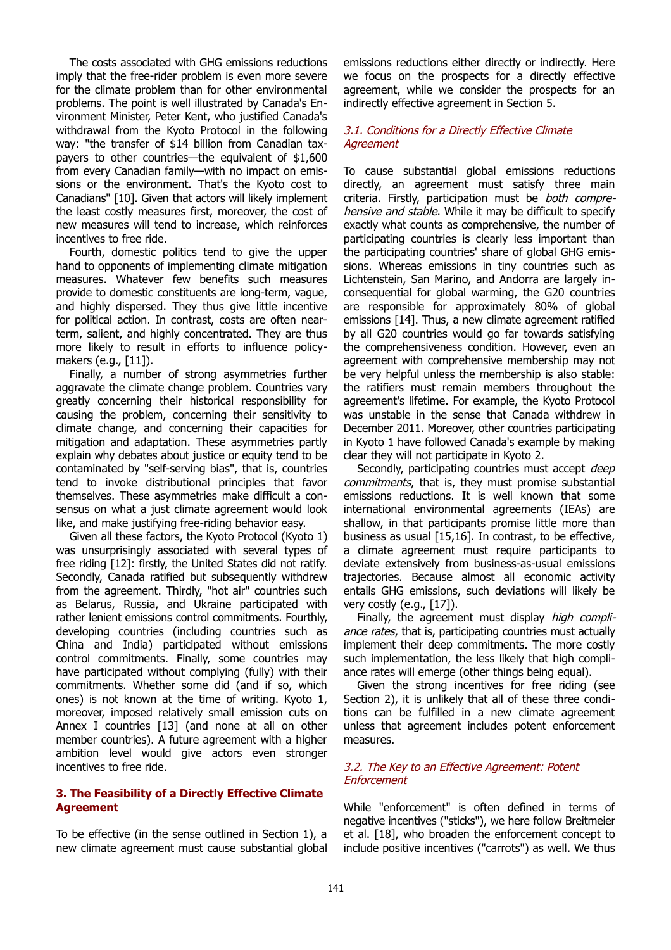The costs associated with GHG emissions reductions imply that the free-rider problem is even more severe for the climate problem than for other environmental problems. The point is well illustrated by Canada's Environment Minister, Peter Kent, who justified Canada's withdrawal from the Kyoto Protocol in the following way: "the transfer of \$14 billion from Canadian taxpayers to other countries—the equivalent of \$1,600 from every Canadian family—with no impact on emissions or the environment. That's the Kyoto cost to Canadians" [10]. Given that actors will likely implement the least costly measures first, moreover, the cost of new measures will tend to increase, which reinforces incentives to free ride.

Fourth, domestic politics tend to give the upper hand to opponents of implementing climate mitigation measures. Whatever few benefits such measures provide to domestic constituents are long-term, vague, and highly dispersed. They thus give little incentive for political action. In contrast, costs are often nearterm, salient, and highly concentrated. They are thus more likely to result in efforts to influence policymakers (e.g., [11]).

Finally, a number of strong asymmetries further aggravate the climate change problem. Countries vary greatly concerning their historical responsibility for causing the problem, concerning their sensitivity to climate change, and concerning their capacities for mitigation and adaptation. These asymmetries partly explain why debates about justice or equity tend to be contaminated by "self-serving bias", that is, countries tend to invoke distributional principles that favor themselves. These asymmetries make difficult a consensus on what a just climate agreement would look like, and make justifying free-riding behavior easy.

Given all these factors, the Kyoto Protocol (Kyoto 1) was unsurprisingly associated with several types of free riding [12]: firstly, the United States did not ratify. Secondly, Canada ratified but subsequently withdrew from the agreement. Thirdly, "hot air" countries such as Belarus, Russia, and Ukraine participated with rather lenient emissions control commitments. Fourthly, developing countries (including countries such as China and India) participated without emissions control commitments. Finally, some countries may have participated without complying (fully) with their commitments. Whether some did (and if so, which ones) is not known at the time of writing. Kyoto 1, moreover, imposed relatively small emission cuts on Annex I countries [13] (and none at all on other member countries). A future agreement with a higher ambition level would give actors even stronger incentives to free ride.

#### **3. The Feasibility of a Directly Effective Climate Agreement**

To be effective (in the sense outlined in Section 1), a new climate agreement must cause substantial global

emissions reductions either directly or indirectly. Here we focus on the prospects for a directly effective agreement, while we consider the prospects for an indirectly effective agreement in Section 5.

## 3.1. Conditions for a Directly Effective Climate **Agreement**

To cause substantial global emissions reductions directly, an agreement must satisfy three main criteria. Firstly, participation must be both comprehensive and stable. While it may be difficult to specify exactly what counts as comprehensive, the number of participating countries is clearly less important than the participating countries' share of global GHG emissions. Whereas emissions in tiny countries such as Lichtenstein, San Marino, and Andorra are largely inconsequential for global warming, the G20 countries are responsible for approximately 80% of global emissions [14]. Thus, a new climate agreement ratified by all G20 countries would go far towards satisfying the comprehensiveness condition. However, even an agreement with comprehensive membership may not be very helpful unless the membership is also stable: the ratifiers must remain members throughout the agreement's lifetime. For example, the Kyoto Protocol was unstable in the sense that Canada withdrew in December 2011. Moreover, other countries participating in Kyoto 1 have followed Canada's example by making clear they will not participate in Kyoto 2.

Secondly, participating countries must accept *deep* commitments, that is, they must promise substantial emissions reductions. It is well known that some international environmental agreements (IEAs) are shallow, in that participants promise little more than business as usual [15,16]. In contrast, to be effective, a climate agreement must require participants to deviate extensively from business-as-usual emissions trajectories. Because almost all economic activity entails GHG emissions, such deviations will likely be very costly (e.g., [17]).

Finally, the agreement must display high compliance rates, that is, participating countries must actually implement their deep commitments. The more costly such implementation, the less likely that high compliance rates will emerge (other things being equal).

Given the strong incentives for free riding (see Section 2), it is unlikely that all of these three conditions can be fulfilled in a new climate agreement unless that agreement includes potent enforcement measures.

#### 3.2. The Key to an Effective Agreement: Potent **Enforcement**

While "enforcement" is often defined in terms of negative incentives ("sticks"), we here follow Breitmeier et al. [18], who broaden the enforcement concept to include positive incentives ("carrots") as well. We thus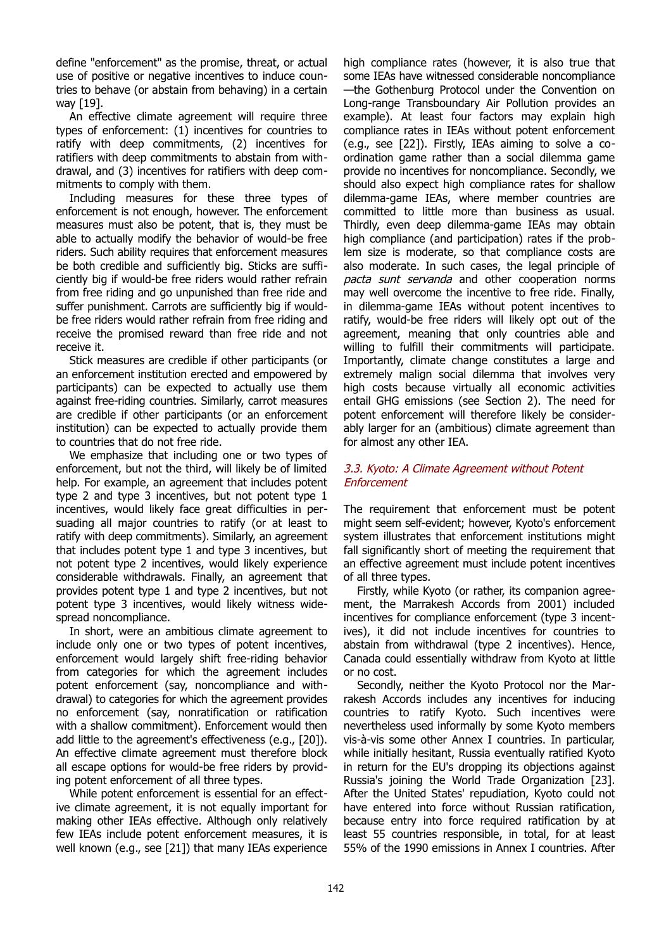define "enforcement" as the promise, threat, or actual use of positive or negative incentives to induce countries to behave (or abstain from behaving) in a certain way [19].

An effective climate agreement will require three types of enforcement: (1) incentives for countries to ratify with deep commitments, (2) incentives for ratifiers with deep commitments to abstain from withdrawal, and (3) incentives for ratifiers with deep commitments to comply with them.

Including measures for these three types of enforcement is not enough, however. The enforcement measures must also be potent, that is, they must be able to actually modify the behavior of would-be free riders. Such ability requires that enforcement measures be both credible and sufficiently big. Sticks are sufficiently big if would-be free riders would rather refrain from free riding and go unpunished than free ride and suffer punishment. Carrots are sufficiently big if wouldbe free riders would rather refrain from free riding and receive the promised reward than free ride and not receive it.

Stick measures are credible if other participants (or an enforcement institution erected and empowered by participants) can be expected to actually use them against free-riding countries. Similarly, carrot measures are credible if other participants (or an enforcement institution) can be expected to actually provide them to countries that do not free ride.

We emphasize that including one or two types of enforcement, but not the third, will likely be of limited help. For example, an agreement that includes potent type 2 and type 3 incentives, but not potent type 1 incentives, would likely face great difficulties in persuading all major countries to ratify (or at least to ratify with deep commitments). Similarly, an agreement that includes potent type 1 and type 3 incentives, but not potent type 2 incentives, would likely experience considerable withdrawals. Finally, an agreement that provides potent type 1 and type 2 incentives, but not potent type 3 incentives, would likely witness widespread noncompliance.

In short, were an ambitious climate agreement to include only one or two types of potent incentives, enforcement would largely shift free-riding behavior from categories for which the agreement includes potent enforcement (say, noncompliance and withdrawal) to categories for which the agreement provides no enforcement (say, nonratification or ratification with a shallow commitment). Enforcement would then add little to the agreement's effectiveness (e.g., [20]). An effective climate agreement must therefore block all escape options for would-be free riders by providing potent enforcement of all three types.

While potent enforcement is essential for an effective climate agreement, it is not equally important for making other IEAs effective. Although only relatively few IEAs include potent enforcement measures, it is well known (e.g., see [21]) that many IEAs experience

high compliance rates (however, it is also true that some IEAs have witnessed considerable noncompliance —the Gothenburg Protocol under the Convention on Long-range Transboundary Air Pollution provides an example). At least four factors may explain high compliance rates in IEAs without potent enforcement (e.g., see [22]). Firstly, IEAs aiming to solve a coordination game rather than a social dilemma game provide no incentives for noncompliance. Secondly, we should also expect high compliance rates for shallow dilemma-game IEAs, where member countries are committed to little more than business as usual. Thirdly, even deep dilemma-game IEAs may obtain high compliance (and participation) rates if the problem size is moderate, so that compliance costs are also moderate. In such cases, the legal principle of pacta sunt servanda and other cooperation norms may well overcome the incentive to free ride. Finally, in dilemma-game IEAs without potent incentives to ratify, would-be free riders will likely opt out of the agreement, meaning that only countries able and willing to fulfill their commitments will participate. Importantly, climate change constitutes a large and extremely malign social dilemma that involves very high costs because virtually all economic activities entail GHG emissions (see Section 2). The need for potent enforcement will therefore likely be considerably larger for an (ambitious) climate agreement than for almost any other IEA.

## 3.3. Kyoto: A Climate Agreement without Potent Enforcement

The requirement that enforcement must be potent might seem self-evident; however, Kyoto's enforcement system illustrates that enforcement institutions might fall significantly short of meeting the requirement that an effective agreement must include potent incentives of all three types.

Firstly, while Kyoto (or rather, its companion agreement, the Marrakesh Accords from 2001) included incentives for compliance enforcement (type 3 incentives), it did not include incentives for countries to abstain from withdrawal (type 2 incentives). Hence, Canada could essentially withdraw from Kyoto at little or no cost.

Secondly, neither the Kyoto Protocol nor the Marrakesh Accords includes any incentives for inducing countries to ratify Kyoto. Such incentives were nevertheless used informally by some Kyoto members vis-à-vis some other Annex I countries. In particular, while initially hesitant, Russia eventually ratified Kyoto in return for the EU's dropping its objections against Russia's joining the World Trade Organization [23]. After the United States' repudiation, Kyoto could not have entered into force without Russian ratification, because entry into force required ratification by at least 55 countries responsible, in total, for at least 55% of the 1990 emissions in Annex I countries. After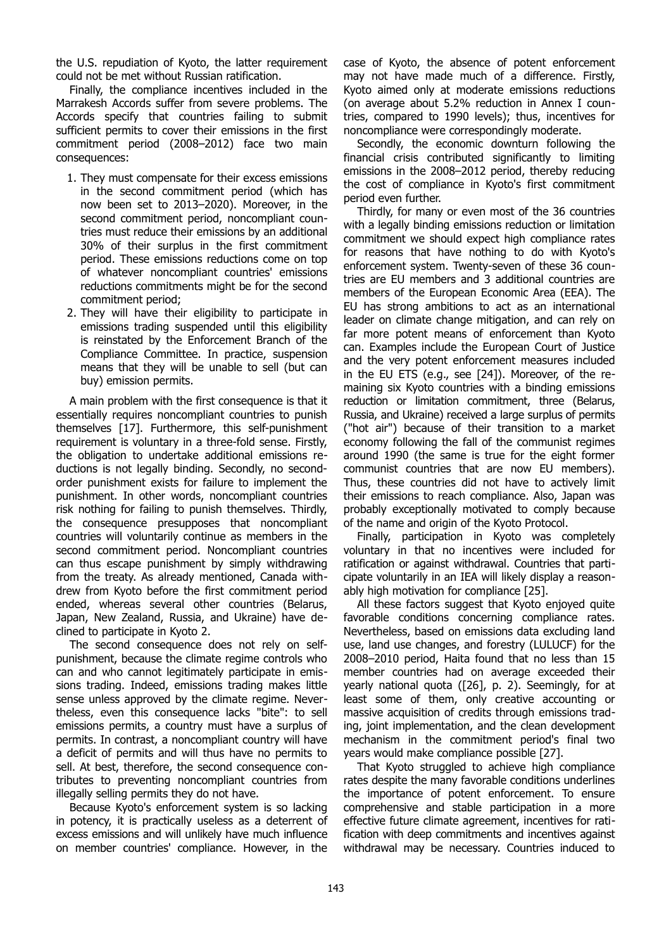the U.S. repudiation of Kyoto, the latter requirement could not be met without Russian ratification.

Finally, the compliance incentives included in the Marrakesh Accords suffer from severe problems. The Accords specify that countries failing to submit sufficient permits to cover their emissions in the first commitment period (2008–2012) face two main consequences:

- 1. They must compensate for their excess emissions in the second commitment period (which has now been set to 2013–2020). Moreover, in the second commitment period, noncompliant countries must reduce their emissions by an additional 30% of their surplus in the first commitment period. These emissions reductions come on top of whatever noncompliant countries' emissions reductions commitments might be for the second commitment period;
- 2. They will have their eligibility to participate in emissions trading suspended until this eligibility is reinstated by the Enforcement Branch of the Compliance Committee. In practice, suspension means that they will be unable to sell (but can buy) emission permits.

A main problem with the first consequence is that it essentially requires noncompliant countries to punish themselves [17]. Furthermore, this self-punishment requirement is voluntary in a three-fold sense. Firstly, the obligation to undertake additional emissions reductions is not legally binding. Secondly, no secondorder punishment exists for failure to implement the punishment. In other words, noncompliant countries risk nothing for failing to punish themselves. Thirdly, the consequence presupposes that noncompliant countries will voluntarily continue as members in the second commitment period. Noncompliant countries can thus escape punishment by simply withdrawing from the treaty. As already mentioned, Canada withdrew from Kyoto before the first commitment period ended, whereas several other countries (Belarus, Japan, New Zealand, Russia, and Ukraine) have declined to participate in Kyoto 2.

The second consequence does not rely on selfpunishment, because the climate regime controls who can and who cannot legitimately participate in emissions trading. Indeed, emissions trading makes little sense unless approved by the climate regime. Nevertheless, even this consequence lacks "bite": to sell emissions permits, a country must have a surplus of permits. In contrast, a noncompliant country will have a deficit of permits and will thus have no permits to sell. At best, therefore, the second consequence contributes to preventing noncompliant countries from illegally selling permits they do not have.

Because Kyoto's enforcement system is so lacking in potency, it is practically useless as a deterrent of excess emissions and will unlikely have much influence on member countries' compliance. However, in the

case of Kyoto, the absence of potent enforcement may not have made much of a difference. Firstly, Kyoto aimed only at moderate emissions reductions (on average about 5.2% reduction in Annex I countries, compared to 1990 levels); thus, incentives for noncompliance were correspondingly moderate.

Secondly, the economic downturn following the financial crisis contributed significantly to limiting emissions in the 2008–2012 period, thereby reducing the cost of compliance in Kyoto's first commitment period even further.

Thirdly, for many or even most of the 36 countries with a legally binding emissions reduction or limitation commitment we should expect high compliance rates for reasons that have nothing to do with Kyoto's enforcement system. Twenty-seven of these 36 countries are EU members and 3 additional countries are members of the European Economic Area (EEA). The EU has strong ambitions to act as an international leader on climate change mitigation, and can rely on far more potent means of enforcement than Kyoto can. Examples include the European Court of Justice and the very potent enforcement measures included in the EU ETS (e.g., see [24]). Moreover, of the remaining six Kyoto countries with a binding emissions reduction or limitation commitment, three (Belarus, Russia, and Ukraine) received a large surplus of permits ("hot air") because of their transition to a market economy following the fall of the communist regimes around 1990 (the same is true for the eight former communist countries that are now EU members). Thus, these countries did not have to actively limit their emissions to reach compliance. Also, Japan was probably exceptionally motivated to comply because of the name and origin of the Kyoto Protocol.

Finally, participation in Kyoto was completely voluntary in that no incentives were included for ratification or against withdrawal. Countries that participate voluntarily in an IEA will likely display a reasonably high motivation for compliance [25].

All these factors suggest that Kyoto enjoyed quite favorable conditions concerning compliance rates. Nevertheless, based on emissions data excluding land use, land use changes, and forestry (LULUCF) for the 2008–2010 period, Haita found that no less than 15 member countries had on average exceeded their yearly national quota ([26], p. 2). Seemingly, for at least some of them, only creative accounting or massive acquisition of credits through emissions trading, joint implementation, and the clean development mechanism in the commitment period's final two years would make compliance possible [27].

That Kyoto struggled to achieve high compliance rates despite the many favorable conditions underlines the importance of potent enforcement. To ensure comprehensive and stable participation in a more effective future climate agreement, incentives for ratification with deep commitments and incentives against withdrawal may be necessary. Countries induced to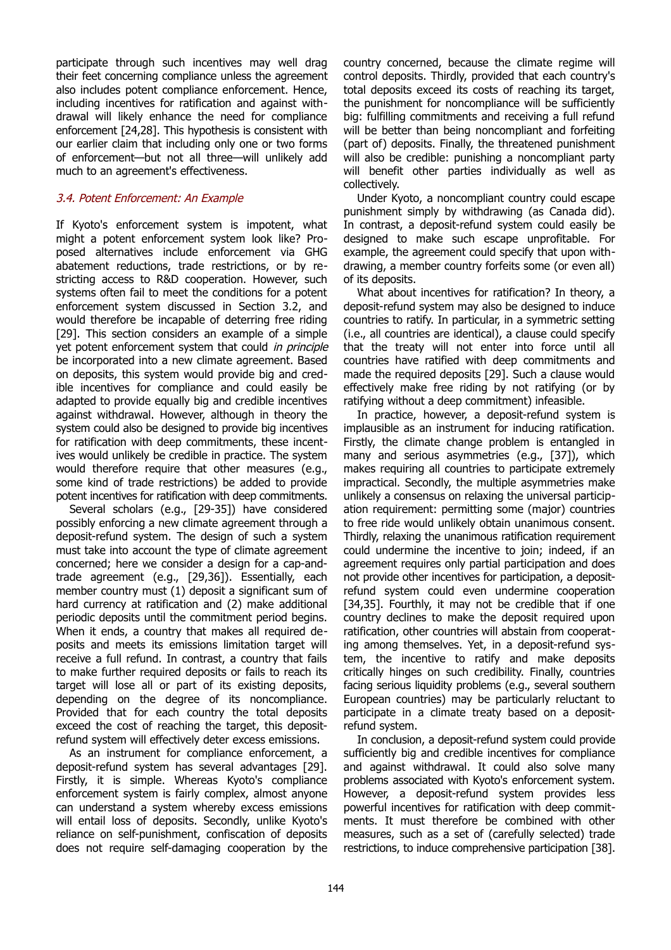participate through such incentives may well drag their feet concerning compliance unless the agreement also includes potent compliance enforcement. Hence, including incentives for ratification and against withdrawal will likely enhance the need for compliance enforcement [24,28]. This hypothesis is consistent with our earlier claim that including only one or two forms of enforcement—but not all three—will unlikely add much to an agreement's effectiveness.

## 3.4. Potent Enforcement: An Example

If Kyoto's enforcement system is impotent, what might a potent enforcement system look like? Proposed alternatives include enforcement via GHG abatement reductions, trade restrictions, or by restricting access to R&D cooperation. However, such systems often fail to meet the conditions for a potent enforcement system discussed in Section 3.2, and would therefore be incapable of deterring free riding [29]. This section considers an example of a simple yet potent enforcement system that could in principle be incorporated into a new climate agreement. Based on deposits, this system would provide big and credible incentives for compliance and could easily be adapted to provide equally big and credible incentives against withdrawal. However, although in theory the system could also be designed to provide big incentives for ratification with deep commitments, these incentives would unlikely be credible in practice. The system would therefore require that other measures (e.g., some kind of trade restrictions) be added to provide potent incentives for ratification with deep commitments.

Several scholars (e.g., [29-35]) have considered possibly enforcing a new climate agreement through a deposit-refund system. The design of such a system must take into account the type of climate agreement concerned; here we consider a design for a cap-andtrade agreement (e.g., [29,36]). Essentially, each member country must (1) deposit a significant sum of hard currency at ratification and (2) make additional periodic deposits until the commitment period begins. When it ends, a country that makes all required deposits and meets its emissions limitation target will receive a full refund. In contrast, a country that fails to make further required deposits or fails to reach its target will lose all or part of its existing deposits, depending on the degree of its noncompliance. Provided that for each country the total deposits exceed the cost of reaching the target, this depositrefund system will effectively deter excess emissions.

As an instrument for compliance enforcement, a deposit-refund system has several advantages [29]. Firstly, it is simple. Whereas Kyoto's compliance enforcement system is fairly complex, almost anyone can understand a system whereby excess emissions will entail loss of deposits. Secondly, unlike Kyoto's reliance on self-punishment, confiscation of deposits does not require self-damaging cooperation by the

country concerned, because the climate regime will control deposits. Thirdly, provided that each country's total deposits exceed its costs of reaching its target, the punishment for noncompliance will be sufficiently big: fulfilling commitments and receiving a full refund will be better than being noncompliant and forfeiting (part of) deposits. Finally, the threatened punishment will also be credible: punishing a noncompliant party will benefit other parties individually as well as collectively.

Under Kyoto, a noncompliant country could escape punishment simply by withdrawing (as Canada did). In contrast, a deposit-refund system could easily be designed to make such escape unprofitable. For example, the agreement could specify that upon withdrawing, a member country forfeits some (or even all) of its deposits.

What about incentives for ratification? In theory, a deposit-refund system may also be designed to induce countries to ratify. In particular, in a symmetric setting (i.e., all countries are identical), a clause could specify that the treaty will not enter into force until all countries have ratified with deep commitments and made the required deposits [29]. Such a clause would effectively make free riding by not ratifying (or by ratifying without a deep commitment) infeasible.

In practice, however, a deposit-refund system is implausible as an instrument for inducing ratification. Firstly, the climate change problem is entangled in many and serious asymmetries (e.g., [37]), which makes requiring all countries to participate extremely impractical. Secondly, the multiple asymmetries make unlikely a consensus on relaxing the universal participation requirement: permitting some (major) countries to free ride would unlikely obtain unanimous consent. Thirdly, relaxing the unanimous ratification requirement could undermine the incentive to join; indeed, if an agreement requires only partial participation and does not provide other incentives for participation, a depositrefund system could even undermine cooperation [34,35]. Fourthly, it may not be credible that if one country declines to make the deposit required upon ratification, other countries will abstain from cooperating among themselves. Yet, in a deposit-refund system, the incentive to ratify and make deposits critically hinges on such credibility. Finally, countries facing serious liquidity problems (e.g., several southern European countries) may be particularly reluctant to participate in a climate treaty based on a depositrefund system.

In conclusion, a deposit-refund system could provide sufficiently big and credible incentives for compliance and against withdrawal. It could also solve many problems associated with Kyoto's enforcement system. However, a deposit-refund system provides less powerful incentives for ratification with deep commitments. It must therefore be combined with other measures, such as a set of (carefully selected) trade restrictions, to induce comprehensive participation [38].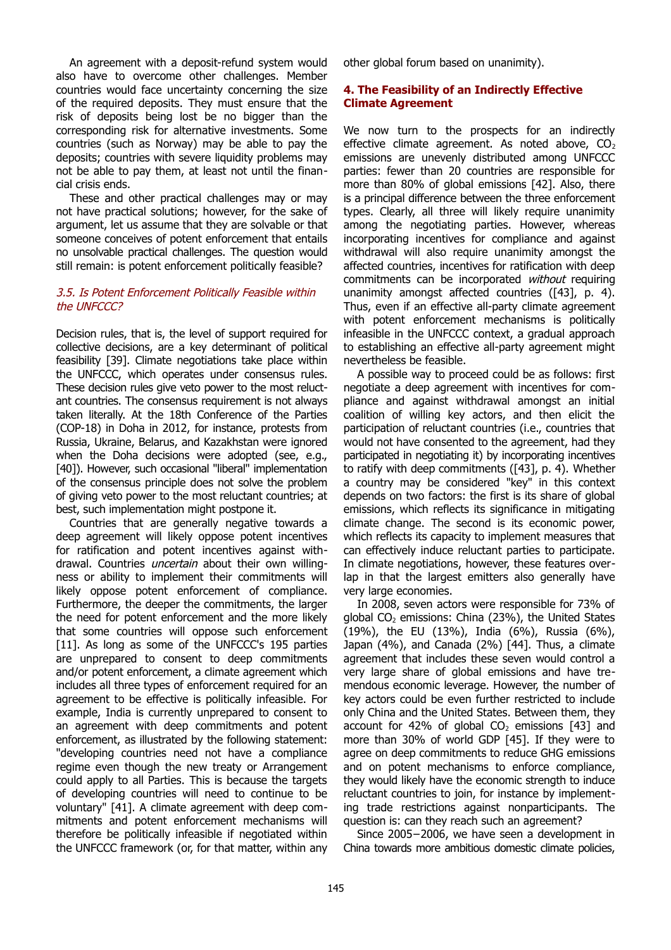An agreement with a deposit-refund system would also have to overcome other challenges. Member countries would face uncertainty concerning the size of the required deposits. They must ensure that the risk of deposits being lost be no bigger than the corresponding risk for alternative investments. Some countries (such as Norway) may be able to pay the deposits; countries with severe liquidity problems may not be able to pay them, at least not until the financial crisis ends.

These and other practical challenges may or may not have practical solutions; however, for the sake of argument, let us assume that they are solvable or that someone conceives of potent enforcement that entails no unsolvable practical challenges. The question would still remain: is potent enforcement politically feasible?

### 3.5. Is Potent Enforcement Politically Feasible within the UNFCCC?

Decision rules, that is, the level of support required for collective decisions, are a key determinant of political feasibility [39]. Climate negotiations take place within the UNFCCC, which operates under consensus rules. These decision rules give veto power to the most reluctant countries. The consensus requirement is not always taken literally. At the 18th Conference of the Parties (COP-18) in Doha in 2012, for instance, protests from Russia, Ukraine, Belarus, and Kazakhstan were ignored when the Doha decisions were adopted (see, e.g., [40]). However, such occasional "liberal" implementation of the consensus principle does not solve the problem of giving veto power to the most reluctant countries; at best, such implementation might postpone it.

Countries that are generally negative towards a deep agreement will likely oppose potent incentives for ratification and potent incentives against withdrawal. Countries *uncertain* about their own willingness or ability to implement their commitments will likely oppose potent enforcement of compliance. Furthermore, the deeper the commitments, the larger the need for potent enforcement and the more likely that some countries will oppose such enforcement [11]. As long as some of the UNFCCC's 195 parties are unprepared to consent to deep commitments and/or potent enforcement, a climate agreement which includes all three types of enforcement required for an agreement to be effective is politically infeasible. For example, India is currently unprepared to consent to an agreement with deep commitments and potent enforcement, as illustrated by the following statement: "developing countries need not have a compliance regime even though the new treaty or Arrangement could apply to all Parties. This is because the targets of developing countries will need to continue to be voluntary" [41]. A climate agreement with deep commitments and potent enforcement mechanisms will therefore be politically infeasible if negotiated within the UNFCCC framework (or, for that matter, within any other global forum based on unanimity).

## **4. The Feasibility of an Indirectly Effective Climate Agreement**

We now turn to the prospects for an indirectly effective climate agreement. As noted above,  $CO<sub>2</sub>$ emissions are unevenly distributed among UNFCCC parties: fewer than 20 countries are responsible for more than 80% of global emissions [42]. Also, there is a principal difference between the three enforcement types. Clearly, all three will likely require unanimity among the negotiating parties. However, whereas incorporating incentives for compliance and against withdrawal will also require unanimity amongst the affected countries, incentives for ratification with deep commitments can be incorporated without requiring unanimity amongst affected countries ([43], p. 4). Thus, even if an effective all-party climate agreement with potent enforcement mechanisms is politically infeasible in the UNFCCC context, a gradual approach to establishing an effective all-party agreement might nevertheless be feasible.

A possible way to proceed could be as follows: first negotiate a deep agreement with incentives for compliance and against withdrawal amongst an initial coalition of willing key actors, and then elicit the participation of reluctant countries (i.e., countries that would not have consented to the agreement, had they participated in negotiating it) by incorporating incentives to ratify with deep commitments ([43], p. 4). Whether a country may be considered "key" in this context depends on two factors: the first is its share of global emissions, which reflects its significance in mitigating climate change. The second is its economic power, which reflects its capacity to implement measures that can effectively induce reluctant parties to participate. In climate negotiations, however, these features overlap in that the largest emitters also generally have very large economies.

In 2008, seven actors were responsible for 73% of global  $CO<sub>2</sub>$  emissions: China (23%), the United States (19%), the EU (13%), India (6%), Russia (6%), Japan (4%), and Canada (2%) [44]. Thus, a climate agreement that includes these seven would control a very large share of global emissions and have tremendous economic leverage. However, the number of key actors could be even further restricted to include only China and the United States. Between them, they account for 42% of global  $CO<sub>2</sub>$  emissions [43] and more than 30% of world GDP [45]. If they were to agree on deep commitments to reduce GHG emissions and on potent mechanisms to enforce compliance, they would likely have the economic strength to induce reluctant countries to join, for instance by implementing trade restrictions against nonparticipants. The question is: can they reach such an agreement?

Since 2005−2006, we have seen a development in China towards more ambitious domestic climate policies,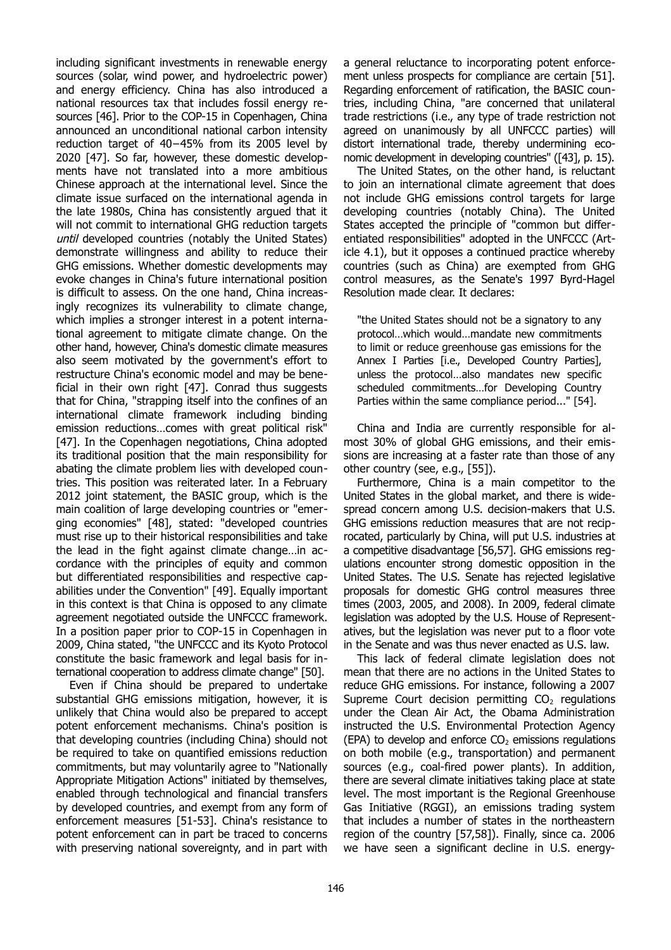including significant investments in renewable energy sources (solar, wind power, and hydroelectric power) and energy efficiency. China has also introduced a national resources tax that includes fossil energy resources [46]. Prior to the COP-15 in Copenhagen, China announced an unconditional national carbon intensity reduction target of 40−45% from its 2005 level by 2020 [47]. So far, however, these domestic developments have not translated into a more ambitious Chinese approach at the international level. Since the climate issue surfaced on the international agenda in the late 1980s, China has consistently argued that it will not commit to international GHG reduction targets until developed countries (notably the United States) demonstrate willingness and ability to reduce their GHG emissions. Whether domestic developments may evoke changes in China's future international position is difficult to assess. On the one hand, China increasingly recognizes its vulnerability to climate change, which implies a stronger interest in a potent international agreement to mitigate climate change. On the other hand, however, China's domestic climate measures also seem motivated by the government's effort to restructure China's economic model and may be beneficial in their own right [47]. Conrad thus suggests that for China, "strapping itself into the confines of an international climate framework including binding emission reductions…comes with great political risk" [47]. In the Copenhagen negotiations, China adopted its traditional position that the main responsibility for abating the climate problem lies with developed countries. This position was reiterated later. In a February 2012 joint statement, the BASIC group, which is the main coalition of large developing countries or "emerging economies" [48], stated: "developed countries must rise up to their historical responsibilities and take the lead in the fight against climate change…in accordance with the principles of equity and common but differentiated responsibilities and respective capabilities under the Convention" [49]. Equally important in this context is that China is opposed to any climate agreement negotiated outside the UNFCCC framework. In a position paper prior to COP-15 in Copenhagen in 2009, China stated, "the UNFCCC and its Kyoto Protocol constitute the basic framework and legal basis for international cooperation to address climate change" [50].

Even if China should be prepared to undertake substantial GHG emissions mitigation, however, it is unlikely that China would also be prepared to accept potent enforcement mechanisms. China's position is that developing countries (including China) should not be required to take on quantified emissions reduction commitments, but may voluntarily agree to "Nationally Appropriate Mitigation Actions" initiated by themselves, enabled through technological and financial transfers by developed countries, and exempt from any form of enforcement measures [51-53]. China's resistance to potent enforcement can in part be traced to concerns with preserving national sovereignty, and in part with

a general reluctance to incorporating potent enforcement unless prospects for compliance are certain [51]. Regarding enforcement of ratification, the BASIC countries, including China, "are concerned that unilateral trade restrictions (i.e., any type of trade restriction not agreed on unanimously by all UNFCCC parties) will distort international trade, thereby undermining economic development in developing countries" ([43], p. 15).

The United States, on the other hand, is reluctant to join an international climate agreement that does not include GHG emissions control targets for large developing countries (notably China). The United States accepted the principle of "common but differentiated responsibilities" adopted in the UNFCCC (Article 4.1), but it opposes a continued practice whereby countries (such as China) are exempted from GHG control measures, as the Senate's 1997 Byrd-Hagel Resolution made clear. It declares:

"the United States should not be a signatory to any protocol…which would…mandate new commitments to limit or reduce greenhouse gas emissions for the Annex I Parties [i.e., Developed Country Parties], unless the protocol…also mandates new specific scheduled commitments…for Developing Country Parties within the same compliance period..." [54].

China and India are currently responsible for almost 30% of global GHG emissions, and their emissions are increasing at a faster rate than those of any other country (see, e.g., [55]).

Furthermore, China is a main competitor to the United States in the global market, and there is widespread concern among U.S. decision-makers that U.S. GHG emissions reduction measures that are not reciprocated, particularly by China, will put U.S. industries at a competitive disadvantage [56,57]. GHG emissions regulations encounter strong domestic opposition in the United States. The U.S. Senate has rejected legislative proposals for domestic GHG control measures three times (2003, 2005, and 2008). In 2009, federal climate legislation was adopted by the U.S. House of Representatives, but the legislation was never put to a floor vote in the Senate and was thus never enacted as U.S. law.

This lack of federal climate legislation does not mean that there are no actions in the United States to reduce GHG emissions. For instance, following a 2007 Supreme Court decision permitting  $CO<sub>2</sub>$  regulations under the Clean Air Act, the Obama Administration instructed the U.S. Environmental Protection Agency (EPA) to develop and enforce  $CO<sub>2</sub>$  emissions regulations on both mobile (e.g., transportation) and permanent sources (e.g., coal-fired power plants). In addition, there are several climate initiatives taking place at state level. The most important is the Regional Greenhouse Gas Initiative (RGGI), an emissions trading system that includes a number of states in the northeastern region of the country [57,58]). Finally, since ca. 2006 we have seen a significant decline in U.S. energy-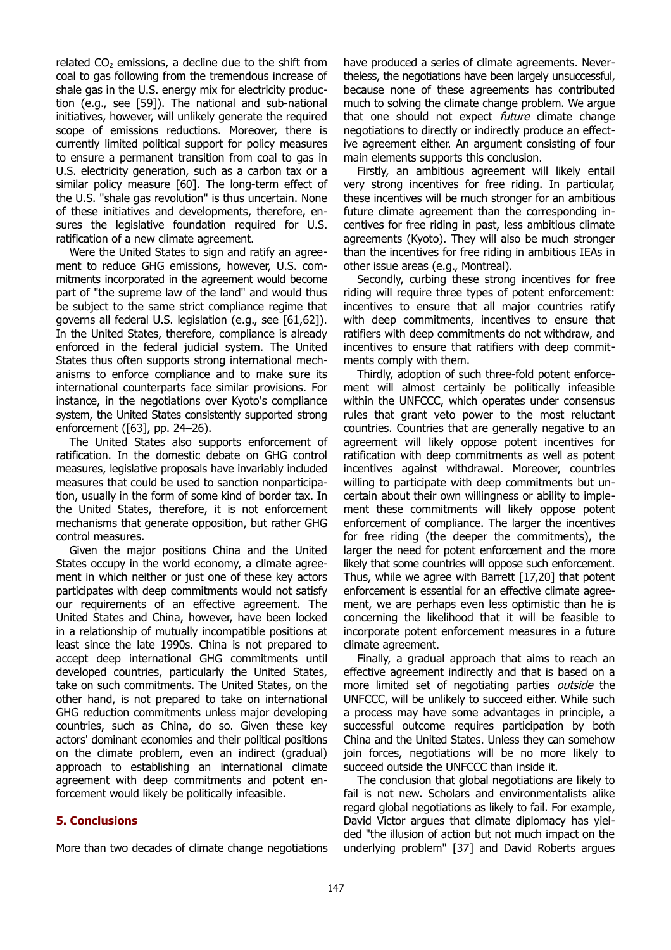related  $CO<sub>2</sub>$  emissions, a decline due to the shift from coal to gas following from the tremendous increase of shale gas in the U.S. energy mix for electricity production (e.g., see [59]). The national and sub-national initiatives, however, will unlikely generate the required scope of emissions reductions. Moreover, there is currently limited political support for policy measures to ensure a permanent transition from coal to gas in U.S. electricity generation, such as a carbon tax or a similar policy measure [60]. The long-term effect of the U.S. "shale gas revolution" is thus uncertain. None of these initiatives and developments, therefore, ensures the legislative foundation required for U.S. ratification of a new climate agreement.

Were the United States to sign and ratify an agreement to reduce GHG emissions, however, U.S. commitments incorporated in the agreement would become part of "the supreme law of the land" and would thus be subject to the same strict compliance regime that governs all federal U.S. legislation (e.g., see [61,62]). In the United States, therefore, compliance is already enforced in the federal judicial system. The United States thus often supports strong international mechanisms to enforce compliance and to make sure its international counterparts face similar provisions. For instance, in the negotiations over Kyoto's compliance system, the United States consistently supported strong enforcement ([63], pp. 24–26).

The United States also supports enforcement of ratification. In the domestic debate on GHG control measures, legislative proposals have invariably included measures that could be used to sanction nonparticipation, usually in the form of some kind of border tax. In the United States, therefore, it is not enforcement mechanisms that generate opposition, but rather GHG control measures.

Given the major positions China and the United States occupy in the world economy, a climate agreement in which neither or just one of these key actors participates with deep commitments would not satisfy our requirements of an effective agreement. The United States and China, however, have been locked in a relationship of mutually incompatible positions at least since the late 1990s. China is not prepared to accept deep international GHG commitments until developed countries, particularly the United States, take on such commitments. The United States, on the other hand, is not prepared to take on international GHG reduction commitments unless major developing countries, such as China, do so. Given these key actors' dominant economies and their political positions on the climate problem, even an indirect (gradual) approach to establishing an international climate agreement with deep commitments and potent enforcement would likely be politically infeasible.

## **5. Conclusions**

More than two decades of climate change negotiations

have produced a series of climate agreements. Nevertheless, the negotiations have been largely unsuccessful, because none of these agreements has contributed much to solving the climate change problem. We argue that one should not expect *future* climate change negotiations to directly or indirectly produce an effective agreement either. An argument consisting of four main elements supports this conclusion.

Firstly, an ambitious agreement will likely entail very strong incentives for free riding. In particular, these incentives will be much stronger for an ambitious future climate agreement than the corresponding incentives for free riding in past, less ambitious climate agreements (Kyoto). They will also be much stronger than the incentives for free riding in ambitious IEAs in other issue areas (e.g., Montreal).

Secondly, curbing these strong incentives for free riding will require three types of potent enforcement: incentives to ensure that all major countries ratify with deep commitments, incentives to ensure that ratifiers with deep commitments do not withdraw, and incentives to ensure that ratifiers with deep commitments comply with them.

Thirdly, adoption of such three-fold potent enforcement will almost certainly be politically infeasible within the UNFCCC, which operates under consensus rules that grant veto power to the most reluctant countries. Countries that are generally negative to an agreement will likely oppose potent incentives for ratification with deep commitments as well as potent incentives against withdrawal. Moreover, countries willing to participate with deep commitments but uncertain about their own willingness or ability to implement these commitments will likely oppose potent enforcement of compliance. The larger the incentives for free riding (the deeper the commitments), the larger the need for potent enforcement and the more likely that some countries will oppose such enforcement. Thus, while we agree with Barrett [17,20] that potent enforcement is essential for an effective climate agreement, we are perhaps even less optimistic than he is concerning the likelihood that it will be feasible to incorporate potent enforcement measures in a future climate agreement.

Finally, a gradual approach that aims to reach an effective agreement indirectly and that is based on a more limited set of negotiating parties *outside* the UNFCCC, will be unlikely to succeed either. While such a process may have some advantages in principle, a successful outcome requires participation by both China and the United States. Unless they can somehow join forces, negotiations will be no more likely to succeed outside the UNFCCC than inside it.

The conclusion that global negotiations are likely to fail is not new. Scholars and environmentalists alike regard global negotiations as likely to fail. For example, David Victor argues that climate diplomacy has yielded "the illusion of action but not much impact on the underlying problem" [37] and David Roberts argues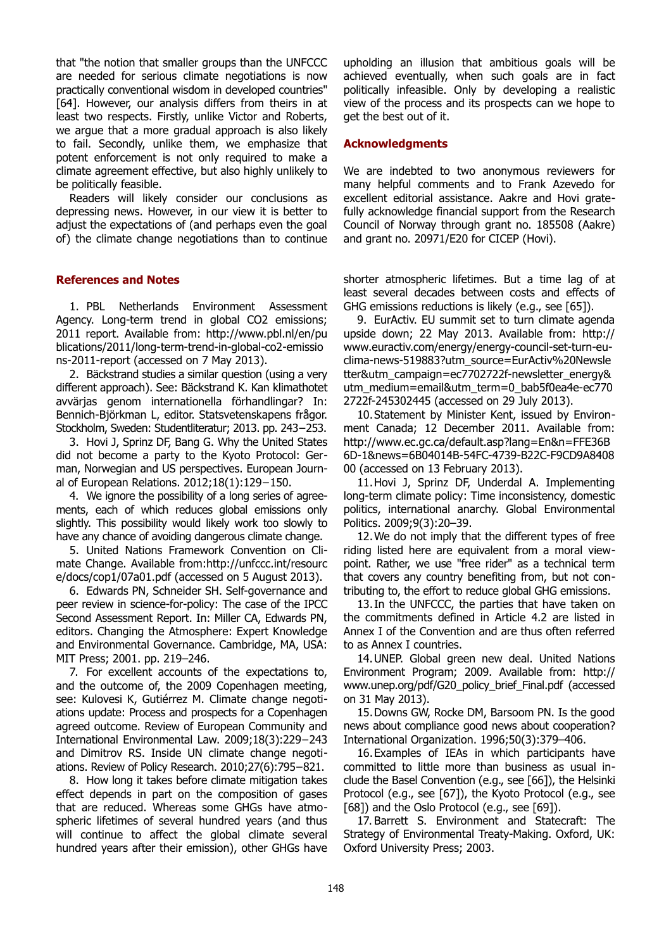that "the notion that smaller groups than the UNFCCC are needed for serious climate negotiations is now practically conventional wisdom in developed countries" [64]. However, our analysis differs from theirs in at least two respects. Firstly, unlike Victor and Roberts, we argue that a more gradual approach is also likely to fail. Secondly, unlike them, we emphasize that potent enforcement is not only required to make a climate agreement effective, but also highly unlikely to be politically feasible.

Readers will likely consider our conclusions as depressing news. However, in our view it is better to adjust the expectations of (and perhaps even the goal of) the climate change negotiations than to continue

#### **References and Notes**

1. PBL Netherlands Environment Assessment Agency. Long-term trend in global CO2 emissions; 2011 report. Available from: http://www.pbl.nl/en/pu blications/2011/long-term-trend-in-global-co2-emissio ns-2011-report (accessed on 7 May 2013).

2. Bäckstrand studies a similar question (using a very different approach). See: Bäckstrand K. Kan klimathotet avvärjas genom internationella förhandlingar? In: Bennich-Björkman L, editor. Statsvetenskapens frågor. Stockholm, Sweden: Studentliteratur; 2013. pp. 243−253.

3. Hovi J, Sprinz DF, Bang G. Why the United States did not become a party to the Kyoto Protocol: German, Norwegian and US perspectives. European Journal of European Relations. 2012;18(1):129−150.

4. We ignore the possibility of a long series of agreements, each of which reduces global emissions only slightly. This possibility would likely work too slowly to have any chance of avoiding dangerous climate change.

5. United Nations Framework Convention on Climate Change. Available from:http://unfccc.int/resourc e/docs/cop1/07a01.pdf (accessed on 5 August 2013).

6. Edwards PN, Schneider SH. Self-governance and peer review in science-for-policy: The case of the IPCC Second Assessment Report. In: Miller CA, Edwards PN, editors. Changing the Atmosphere: Expert Knowledge and Environmental Governance. Cambridge, MA, USA: MIT Press; 2001. pp. 219–246.

7. For excellent accounts of the expectations to, and the outcome of, the 2009 Copenhagen meeting, see: Kulovesi K, Gutiérrez M. Climate change negotiations update: Process and prospects for a Copenhagen agreed outcome. Review of European Community and International Environmental Law. 2009;18(3):229−243 and Dimitrov RS. Inside UN climate change negotiations. Review of Policy Research. 2010;27(6):795−821.

8. How long it takes before climate mitigation takes effect depends in part on the composition of gases that are reduced. Whereas some GHGs have atmospheric lifetimes of several hundred years (and thus will continue to affect the global climate several hundred years after their emission), other GHGs have

upholding an illusion that ambitious goals will be achieved eventually, when such goals are in fact politically infeasible. Only by developing a realistic view of the process and its prospects can we hope to get the best out of it.

#### **Acknowledgments**

We are indebted to two anonymous reviewers for many helpful comments and to Frank Azevedo for excellent editorial assistance. Aakre and Hovi gratefully acknowledge financial support from the Research Council of Norway through grant no. 185508 (Aakre) and grant no. 20971/E20 for CICEP (Hovi).

shorter atmospheric lifetimes. But a time lag of at least several decades between costs and effects of GHG emissions reductions is likely (e.g., see [65]).

9. EurActiv. EU summit set to turn climate agenda upside down; 22 May 2013. Available from: http:// www.euractiv.com/energy/energy-council-set-turn-euclima-news-519883?utm\_source=EurActiv%20Newsle tter&utm\_campaign=ec7702722f-newsletter\_energy& utm\_medium=email&utm\_term=0\_bab5f0ea4e-ec770 2722f-245302445 (accessed on 29 July 2013).

10.Statement by Minister Kent, issued by Environment Canada; 12 December 2011. Available from: http://www.ec.gc.ca/default.asp?lang=En&n=FFE36B 6D-1&news=6B04014B-54FC-4739-B22C-F9CD9A8408 00 (accessed on 13 February 2013).

11.Hovi J, Sprinz DF, Underdal A. Implementing long-term climate policy: Time inconsistency, domestic politics, international anarchy. Global Environmental Politics. 2009;9(3):20–39.

12.We do not imply that the different types of free riding listed here are equivalent from a moral viewpoint. Rather, we use "free rider" as a technical term that covers any country benefiting from, but not contributing to, the effort to reduce global GHG emissions.

13.In the UNFCCC, the parties that have taken on the commitments defined in Article 4.2 are listed in Annex I of the Convention and are thus often referred to as Annex I countries.

14.UNEP. Global green new deal. United Nations Environment Program; 2009. Available from: http:// www.unep.org/pdf/G20\_policy\_brief\_Final.pdf (accessed on 31 May 2013).

15.Downs GW, Rocke DM, Barsoom PN. Is the good news about compliance good news about cooperation? International Organization. 1996;50(3):379–406.

16.Examples of IEAs in which participants have committed to little more than business as usual include the Basel Convention (e.g., see [66]), the Helsinki Protocol (e.g., see [67]), the Kyoto Protocol (e.g., see [68]) and the Oslo Protocol (e.g., see [69]).

17. Barrett S. Environment and Statecraft: The Strategy of Environmental Treaty-Making. Oxford, UK: Oxford University Press; 2003.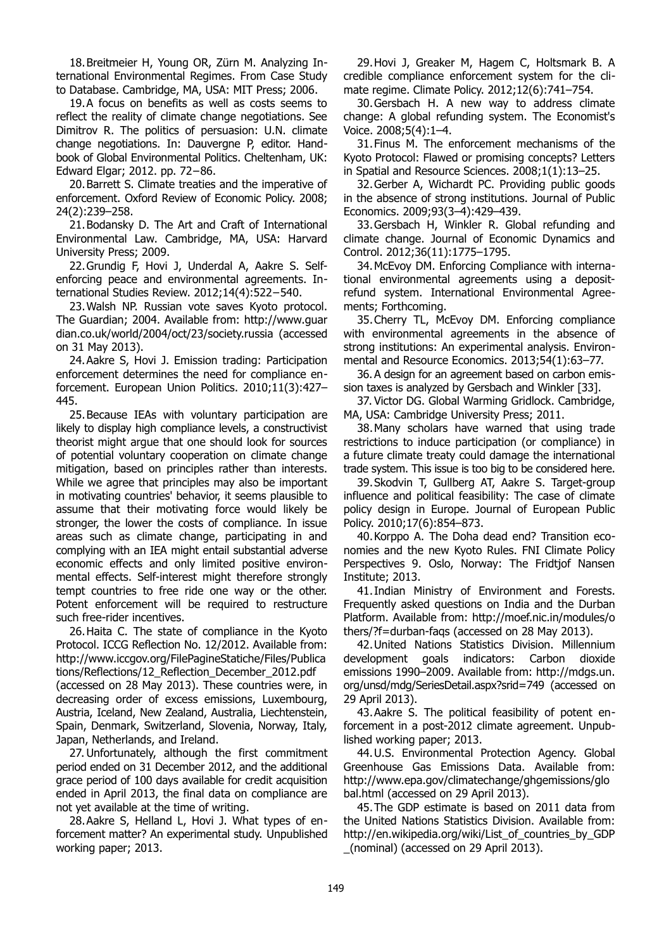18.Breitmeier H, Young OR, Zürn M. Analyzing International Environmental Regimes. From Case Study to Database. Cambridge, MA, USA: MIT Press; 2006.

19.A focus on benefits as well as costs seems to reflect the reality of climate change negotiations. See Dimitrov R. The politics of persuasion: U.N. climate change negotiations. In: Dauvergne P, editor. Handbook of Global Environmental Politics. Cheltenham, UK: Edward Elgar; 2012. pp. 72−86.

20.Barrett S. Climate treaties and the imperative of enforcement. Oxford Review of Economic Policy. 2008; 24(2):239–258.

21.Bodansky D. The Art and Craft of International Environmental Law. Cambridge, MA, USA: Harvard University Press; 2009.

22.Grundig F, Hovi J, Underdal A, Aakre S. Selfenforcing peace and environmental agreements. International Studies Review. 2012;14(4):522−540.

23.Walsh NP. Russian vote saves Kyoto protocol. The Guardian; 2004. Available from: http://www.guar dian.co.uk/world/2004/oct/23/society.russia (accessed on 31 May 2013).

24.Aakre S, Hovi J. Emission trading: Participation enforcement determines the need for compliance enforcement. European Union Politics. 2010;11(3):427– 445.

25.Because IEAs with voluntary participation are likely to display high compliance levels, a constructivist theorist might argue that one should look for sources of potential voluntary cooperation on climate change mitigation, based on principles rather than interests. While we agree that principles may also be important in motivating countries' behavior, it seems plausible to assume that their motivating force would likely be stronger, the lower the costs of compliance. In issue areas such as climate change, participating in and complying with an IEA might entail substantial adverse economic effects and only limited positive environmental effects. Self-interest might therefore strongly tempt countries to free ride one way or the other. Potent enforcement will be required to restructure such free-rider incentives.

26.Haita C. The state of compliance in the Kyoto Protocol. ICCG Reflection No. 12/2012. Available from: http://www.iccgov.org/FilePagineStatiche/Files/Publica tions/Reflections/12\_Reflection\_December\_2012.pdf

(accessed on 28 May 2013). These countries were, in decreasing order of excess emissions, Luxembourg, Austria, Iceland, New Zealand, Australia, Liechtenstein, Spain, Denmark, Switzerland, Slovenia, Norway, Italy, Japan, Netherlands, and Ireland.

27. Unfortunately, although the first commitment period ended on 31 December 2012, and the additional grace period of 100 days available for credit acquisition ended in April 2013, the final data on compliance are not yet available at the time of writing.

28.Aakre S, Helland L, Hovi J. What types of enforcement matter? An experimental study. Unpublished working paper; 2013.

29.Hovi J, Greaker M, Hagem C, Holtsmark B. A credible compliance enforcement system for the climate regime. Climate Policy. 2012;12(6):741–754.

30.Gersbach H. A new way to address climate change: A global refunding system. The Economist's Voice. 2008;5(4):1–4.

31.Finus M. The enforcement mechanisms of the Kyoto Protocol: Flawed or promising concepts? Letters in Spatial and Resource Sciences. 2008;1(1):13–25.

32.Gerber A, Wichardt PC. Providing public goods in the absence of strong institutions. Journal of Public Economics. 2009;93(3–4):429–439.

33.Gersbach H, Winkler R. Global refunding and climate change. Journal of Economic Dynamics and Control. 2012;36(11):1775–1795.

34.McEvoy DM. Enforcing Compliance with international environmental agreements using a depositrefund system. International Environmental Agreements; Forthcoming.

35.Cherry TL, McEvoy DM. Enforcing compliance with environmental agreements in the absence of strong institutions: An experimental analysis. Environmental and Resource Economics. 2013;54(1):63–77.

36.A design for an agreement based on carbon emission taxes is analyzed by Gersbach and Winkler [33].

37. Victor DG. Global Warming Gridlock. Cambridge, MA, USA: Cambridge University Press; 2011.

38.Many scholars have warned that using trade restrictions to induce participation (or compliance) in a future climate treaty could damage the international trade system. This issue is too big to be considered here.

39.Skodvin T, Gullberg AT, Aakre S. Target-group influence and political feasibility: The case of climate policy design in Europe. Journal of European Public Policy. 2010;17(6):854–873.

40.Korppo A. The Doha dead end? Transition economies and the new Kyoto Rules. FNI Climate Policy Perspectives 9. Oslo, Norway: The Fridtjof Nansen Institute; 2013.

41.Indian Ministry of Environment and Forests. Frequently asked questions on India and the Durban Platform. Available from: http://moef.nic.in/modules/o thers/?f=durban-faqs (accessed on 28 May 2013).

42.United Nations Statistics Division. Millennium development goals indicators: Carbon dioxide emissions 1990–2009. Available from: http://mdgs.un. org/unsd/mdg/SeriesDetail.aspx?srid=749 (accessed on 29 April 2013).

43.Aakre S. The political feasibility of potent enforcement in a post-2012 climate agreement. Unpublished working paper; 2013.

44.U.S. Environmental Protection Agency. Global Greenhouse Gas Emissions Data. Available from: http://www.epa.gov/climatechange/ghgemissions/glo bal.html (accessed on 29 April 2013).

45.The GDP estimate is based on 2011 data from the United Nations Statistics Division. Available from: http://en.wikipedia.org/wiki/List\_of\_countries\_by\_GDP \_(nominal) (accessed on 29 April 2013).